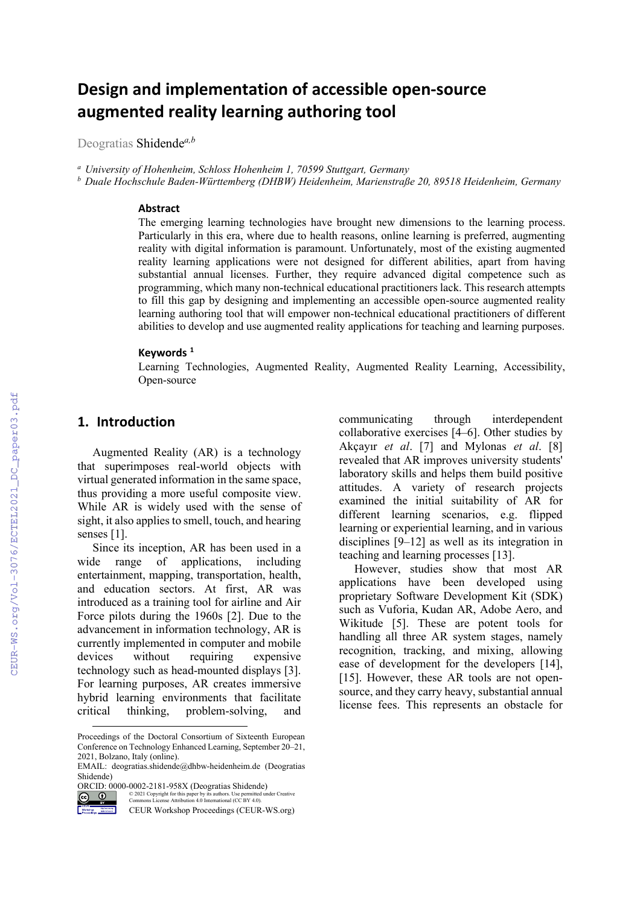# **Design and implementation of accessible open-source augmented reality learning authoring tool**

Deogratias Shidende*a,b*

*<sup>a</sup> University of Hohenheim, Schloss Hohenheim 1, 70599 Stuttgart, Germany*

*<sup>b</sup> Duale Hochschule Baden-Württemberg (DHBW) Heidenheim, Marienstraße 20, 89518 Heidenheim, Germany*

#### **Abstract**

The emerging learning technologies have brought new dimensions to the learning process. Particularly in this era, where due to health reasons, online learning is preferred, augmenting reality with digital information is paramount. Unfortunately, most of the existing augmented reality learning applications were not designed for different abilities, apart from having substantial annual licenses. Further, they require advanced digital competence such as programming, which many non-technical educational practitioners lack. This research attempts to fill this gap by designing and implementing an accessible open-source augmented reality learning authoring tool that will empower non-technical educational practitioners of different abilities to develop and use augmented reality applications for teaching and learning purposes.

#### **Keywords [1](#page-0-0)**

Learning Technologies, Augmented Reality, Augmented Reality Learning, Accessibility, Open-source

### **1. Introduction**

Augmented Reality (AR) is a technology that superimposes real-world objects with virtual generated information in the same space, thus providing a more useful composite view. While AR is widely used with the sense of sight, it also applies to smell, touch, and hearing senses [1].

Since its inception, AR has been used in a wide range of applications, including entertainment, mapping, transportation, health, and education sectors. At first, AR was introduced as a training tool for airline and Air Force pilots during the 1960s [2]. Due to the advancement in information technology, AR is currently implemented in computer and mobile devices without requiring expensive technology such as head-mounted displays [3]. For learning purposes, AR creates immersive hybrid learning environments that facilitate critical thinking, problem-solving, and

 $\bullet$ © 2021 Copyright for this paper by its authors. Use permitted under Creative Commons License Attribution 4.0 International (CC BY 4.0).

CEUR Workshop Proceedings (CEUR-WS.org)

communicating through interdependent collaborative exercises [4–6]. Other studies by Akçayır *et al*. [7] and Mylonas *et al*. [8] revealed that AR improves university students' laboratory skills and helps them build positive attitudes. A variety of research projects examined the initial suitability of AR for different learning scenarios, e.g. flipped learning or experiential learning, and in various disciplines [9–12] as well as its integration in teaching and learning processes [13].

However, studies show that most AR applications have been developed using proprietary Software Development Kit (SDK) such as Vuforia, Kudan AR, Adobe Aero, and Wikitude [5]. These are potent tools for handling all three AR system stages, namely recognition, tracking, and mixing, allowing ease of development for the developers [14], [15]. However, these AR tools are not opensource, and they carry heavy, substantial annual license fees. This represents an obstacle for

<span id="page-0-0"></span>Proceedings of the Doctoral Consortium of Sixteenth European Conference on Technology Enhanced Learning, September 20–21, 2021, Bolzano, Italy (online).

EMAIL: deogratias.shidende@dhbw-heidenheim.de (Deogratias Shidende)

ORCID: 0000-0002-2181-958X (Deogratias Shidende)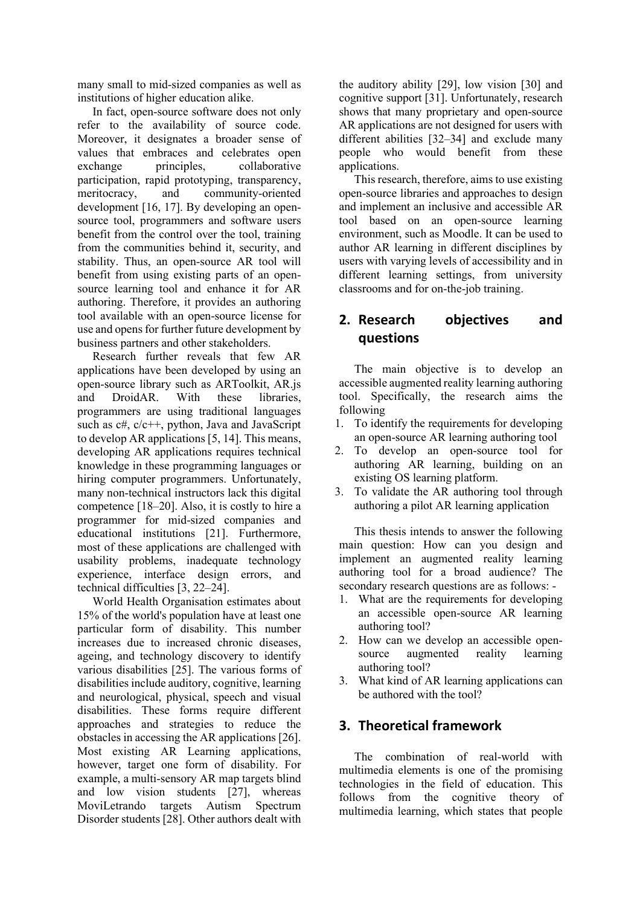many small to mid-sized companies as well as institutions of higher education alike.

In fact, open-source software does not only refer to the availability of source code. Moreover, it designates a broader sense of values that embraces and celebrates open exchange principles, collaborative participation, rapid prototyping, transparency,<br>meritocracy, and community-oriented community-oriented development [16, 17]. By developing an opensource tool, programmers and software users benefit from the control over the tool, training from the communities behind it, security, and stability. Thus, an open-source AR tool will benefit from using existing parts of an opensource learning tool and enhance it for AR authoring. Therefore, it provides an authoring tool available with an open-source license for use and opens for further future development by business partners and other stakeholders.

Research further reveals that few AR applications have been developed by using an open-source library such as ARToolkit, AR.js and DroidAR. With these libraries, programmers are using traditional languages such as c#, c/c++, python, Java and JavaScript to develop AR applications [5, 14]. This means, developing AR applications requires technical knowledge in these programming languages or hiring computer programmers. Unfortunately, many non-technical instructors lack this digital competence [18–20]. Also, it is costly to hire a programmer for mid-sized companies and educational institutions [21]. Furthermore, most of these applications are challenged with usability problems, inadequate technology experience, interface design errors, and technical difficulties [3, 22–24].

World Health Organisation estimates about 15% of the world's population have at least one particular form of disability. This number increases due to increased chronic diseases, ageing, and technology discovery to identify various disabilities [25]. The various forms of disabilities include auditory, cognitive, learning and neurological, physical, speech and visual disabilities. These forms require different approaches and strategies to reduce the obstacles in accessing the AR applications [26]. Most existing AR Learning applications, however, target one form of disability. For example, a multi-sensory AR map targets blind and low vision students [27], whereas MoviLetrando targets Autism Spectrum Disorder students [28]. Other authors dealt with the auditory ability [29], low vision [30] and cognitive support [31]. Unfortunately, research shows that many proprietary and open-source AR applications are not designed for users with different abilities [32–34] and exclude many people who would benefit from these applications.

This research, therefore, aims to use existing open-source libraries and approaches to design and implement an inclusive and accessible AR tool based on an open-source learning environment, such as Moodle. It can be used to author AR learning in different disciplines by users with varying levels of accessibility and in different learning settings, from university classrooms and for on-the-job training.

## **2. Research objectives and questions**

The main objective is to develop an accessible augmented reality learning authoring tool. Specifically, the research aims the following

- 1. To identify the requirements for developing an open-source AR learning authoring tool
- 2. To develop an open-source tool for authoring AR learning, building on an existing OS learning platform.
- 3. To validate the AR authoring tool through authoring a pilot AR learning application

This thesis intends to answer the following main question: How can you design and implement an augmented reality learning authoring tool for a broad audience? The secondary research questions are as follows: -

- 1. What are the requirements for developing an accessible open-source AR learning authoring tool?
- 2. How can we develop an accessible opensource augmented reality learning authoring tool?
- 3. What kind of AR learning applications can be authored with the tool?

### **3. Theoretical framework**

The combination of real-world with multimedia elements is one of the promising technologies in the field of education. This follows from the cognitive theory of multimedia learning, which states that people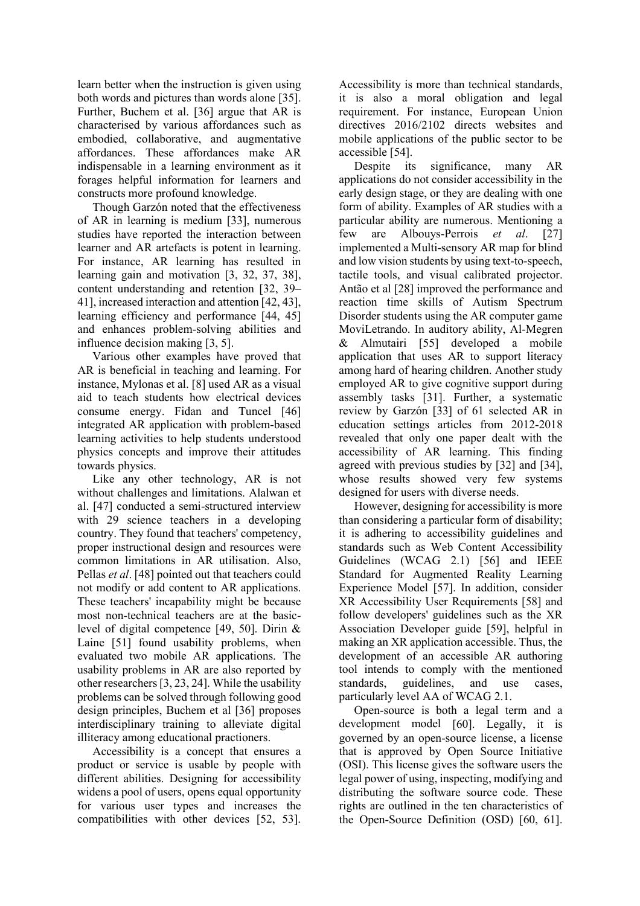learn better when the instruction is given using both words and pictures than words alone [35]. Further, Buchem et al. [36] argue that AR is characterised by various affordances such as embodied, collaborative, and augmentative affordances. These affordances make AR indispensable in a learning environment as it forages helpful information for learners and constructs more profound knowledge.

Though Garzón noted that the effectiveness of AR in learning is medium [33], numerous studies have reported the interaction between learner and AR artefacts is potent in learning. For instance, AR learning has resulted in learning gain and motivation [3, 32, 37, 38], content understanding and retention [32, 39– 41], increased interaction and attention [42, 43], learning efficiency and performance [44, 45] and enhances problem-solving abilities and influence decision making [3, 5].

Various other examples have proved that AR is beneficial in teaching and learning. For instance, Mylonas et al. [8] used AR as a visual aid to teach students how electrical devices consume energy. Fidan and Tuncel [46] integrated AR application with problem-based learning activities to help students understood physics concepts and improve their attitudes towards physics.

Like any other technology, AR is not without challenges and limitations. Alalwan et al. [47] conducted a semi-structured interview with 29 science teachers in a developing country. They found that teachers' competency, proper instructional design and resources were common limitations in AR utilisation. Also, Pellas *et al*. [48] pointed out that teachers could not modify or add content to AR applications. These teachers' incapability might be because most non-technical teachers are at the basiclevel of digital competence [49, 50]. Dirin & Laine [51] found usability problems, when evaluated two mobile AR applications. The usability problems in AR are also reported by other researchers [3, 23, 24]. While the usability problems can be solved through following good design principles, Buchem et al [36] proposes interdisciplinary training to alleviate digital illiteracy among educational practioners.

Accessibility is a concept that ensures a product or service is usable by people with different abilities. Designing for accessibility widens a pool of users, opens equal opportunity for various user types and increases the compatibilities with other devices [52, 53]. Accessibility is more than technical standards, it is also a moral obligation and legal requirement. For instance, European Union directives 2016/2102 directs websites and mobile applications of the public sector to be accessible [54].

Despite its significance, many AR applications do not consider accessibility in the early design stage, or they are dealing with one form of ability. Examples of AR studies with a particular ability are numerous. Mentioning a few are Albouys-Perrois *et al*. [27] implemented a Multi-sensory AR map for blind and low vision students by using text-to-speech, tactile tools, and visual calibrated projector. Antão et al [28] improved the performance and reaction time skills of Autism Spectrum Disorder students using the AR computer game MoviLetrando. In auditory ability, Al-Megren & Almutairi [55] developed a mobile application that uses AR to support literacy among hard of hearing children. Another study employed AR to give cognitive support during assembly tasks [31]. Further, a systematic review by Garzón [33] of 61 selected AR in education settings articles from 2012-2018 revealed that only one paper dealt with the accessibility of AR learning. This finding agreed with previous studies by [32] and [34], whose results showed very few systems designed for users with diverse needs.

However, designing for accessibility is more than considering a particular form of disability; it is adhering to accessibility guidelines and standards such as Web Content Accessibility Guidelines (WCAG 2.1) [56] and IEEE Standard for Augmented Reality Learning Experience Model [57]. In addition, consider XR Accessibility User Requirements [58] and follow developers' guidelines such as the XR Association Developer guide [59], helpful in making an XR application accessible. Thus, the development of an accessible AR authoring tool intends to comply with the mentioned standards, guidelines, and use cases, particularly level AA of WCAG 2.1.

Open-source is both a legal term and a development model [60]. Legally, it is governed by an open-source license, a license that is approved by Open Source Initiative (OSI). This license gives the software users the legal power of using, inspecting, modifying and distributing the software source code. These rights are outlined in the ten characteristics of the Open-Source Definition (OSD) [60, 61].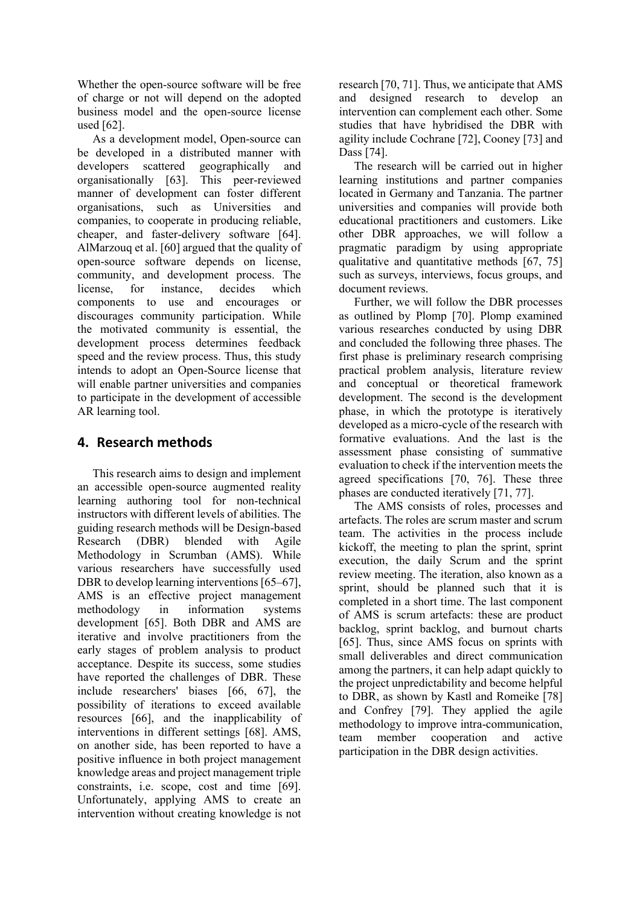Whether the open-source software will be free of charge or not will depend on the adopted business model and the open-source license used [62].

As a development model, Open-source can be developed in a distributed manner with developers scattered geographically and organisationally [63]. This peer-reviewed manner of development can foster different organisations, such as Universities and companies, to cooperate in producing reliable, cheaper, and faster-delivery software [64]. AlMarzouq et al. [60] argued that the quality of open-source software depends on license, community, and development process. The<br>license, for instance, decides which license, for instance, decides which components to use and encourages or discourages community participation. While the motivated community is essential, the development process determines feedback speed and the review process. Thus, this study intends to adopt an Open-Source license that will enable partner universities and companies to participate in the development of accessible AR learning tool.

## **4. Research methods**

This research aims to design and implement an accessible open-source augmented reality learning authoring tool for non-technical instructors with different levels of abilities. The guiding research methods will be Design-based Research (DBR) blended with Agile Methodology in Scrumban (AMS). While various researchers have successfully used DBR to develop learning interventions [65–67], AMS is an effective project management methodology in information systems development [65]. Both DBR and AMS are iterative and involve practitioners from the early stages of problem analysis to product acceptance. Despite its success, some studies have reported the challenges of DBR. These include researchers' biases [66, 67], the possibility of iterations to exceed available resources [66], and the inapplicability of interventions in different settings [68]. AMS, on another side, has been reported to have a positive influence in both project management knowledge areas and project management triple constraints, i.e. scope, cost and time [69]. Unfortunately, applying AMS to create an intervention without creating knowledge is not

research [70, 71]. Thus, we anticipate that AMS and designed research to develop an intervention can complement each other. Some studies that have hybridised the DBR with agility include Cochrane [72], Cooney [73] and Dass [74].

The research will be carried out in higher learning institutions and partner companies located in Germany and Tanzania. The partner universities and companies will provide both educational practitioners and customers. Like other DBR approaches, we will follow a pragmatic paradigm by using appropriate qualitative and quantitative methods [67, 75] such as surveys, interviews, focus groups, and document reviews.

Further, we will follow the DBR processes as outlined by Plomp [70]. Plomp examined various researches conducted by using DBR and concluded the following three phases. The first phase is preliminary research comprising practical problem analysis, literature review and conceptual or theoretical framework development. The second is the development phase, in which the prototype is iteratively developed as a micro-cycle of the research with formative evaluations. And the last is the assessment phase consisting of summative evaluation to check if the intervention meets the agreed specifications [70, 76]. These three phases are conducted iteratively [71, 77].

The AMS consists of roles, processes and artefacts. The roles are scrum master and scrum team. The activities in the process include kickoff, the meeting to plan the sprint, sprint execution, the daily Scrum and the sprint review meeting. The iteration, also known as a sprint, should be planned such that it is completed in a short time. The last component of AMS is scrum artefacts: these are product backlog, sprint backlog, and burnout charts [65]. Thus, since AMS focus on sprints with small deliverables and direct communication among the partners, it can help adapt quickly to the project unpredictability and become helpful to DBR, as shown by Kastl and Romeike [78] and Confrey [79]. They applied the agile methodology to improve intra-communication, team member cooperation and active participation in the DBR design activities.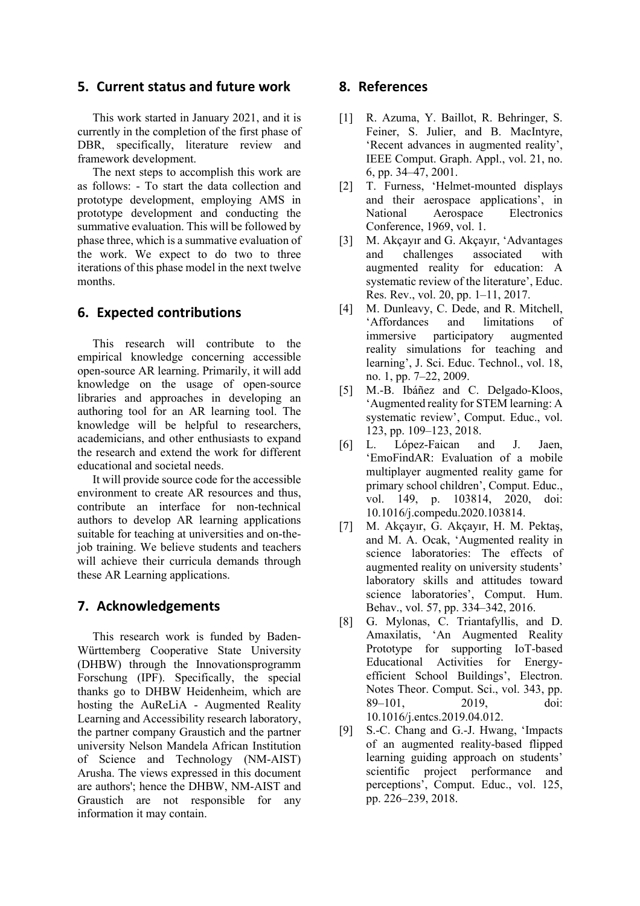### **5. Current status and future work**

This work started in January 2021, and it is currently in the completion of the first phase of DBR, specifically, literature review and framework development.

The next steps to accomplish this work are as follows: - To start the data collection and prototype development, employing AMS in prototype development and conducting the summative evaluation. This will be followed by phase three, which is a summative evaluation of the work. We expect to do two to three iterations of this phase model in the next twelve months.

### **6. Expected contributions**

This research will contribute to the empirical knowledge concerning accessible open-source AR learning. Primarily, it will add knowledge on the usage of open-source libraries and approaches in developing an authoring tool for an AR learning tool. The knowledge will be helpful to researchers, academicians, and other enthusiasts to expand the research and extend the work for different educational and societal needs.

It will provide source code for the accessible environment to create AR resources and thus, contribute an interface for non-technical authors to develop AR learning applications suitable for teaching at universities and on-thejob training. We believe students and teachers will achieve their curricula demands through these AR Learning applications.

### **7. Acknowledgements**

This research work is funded by Baden-Württemberg Cooperative State University (DHBW) through the Innovationsprogramm Forschung (IPF). Specifically, the special thanks go to DHBW Heidenheim, which are hosting the AuReLiA - Augmented Reality Learning and Accessibility research laboratory, the partner company Graustich and the partner university Nelson Mandela African Institution of Science and Technology (NM-AIST) Arusha. The views expressed in this document are authors'; hence the DHBW, NM-AIST and Graustich are not responsible for any information it may contain.

### **8. References**

- [1] R. Azuma, Y. Baillot, R. Behringer, S. Feiner, S. Julier, and B. MacIntyre, 'Recent advances in augmented reality', IEEE Comput. Graph. Appl., vol. 21, no. 6, pp. 34–47, 2001.
- [2] T. Furness, 'Helmet-mounted displays and their aerospace applications', in National Aerospace Electronics Conference, 1969, vol. 1.
- [3] M. Akçayır and G. Akçayır, 'Advantages and challenges associated with augmented reality for education: A systematic review of the literature', Educ. Res. Rev., vol. 20, pp. 1–11, 2017.
- [4] M. Dunleavy, C. Dede, and R. Mitchell, 'Affordances and limitations of participatory augmented reality simulations for teaching and learning', J. Sci. Educ. Technol., vol. 18, no. 1, pp. 7–22, 2009.
- [5] M.-B. Ibáñez and C. Delgado-Kloos, 'Augmented reality for STEM learning: A systematic review', Comput. Educ., vol. 123, pp. 109–123, 2018.
- [6] L. López-Faican and J. Jaen, 'EmoFindAR: Evaluation of a mobile multiplayer augmented reality game for primary school children', Comput. Educ., vol. 149, p. 103814, 2020, doi: 10.1016/j.compedu.2020.103814.
- [7] M. Akçayır, G. Akçayır, H. M. Pektaş, and M. A. Ocak, 'Augmented reality in science laboratories: The effects of augmented reality on university students' laboratory skills and attitudes toward science laboratories', Comput. Hum. Behav., vol. 57, pp. 334–342, 2016.
- [8] G. Mylonas, C. Triantafyllis, and D. Amaxilatis, 'An Augmented Reality Prototype for supporting IoT-based Educational Activities for Energyefficient School Buildings', Electron. Notes Theor. Comput. Sci., vol. 343, pp. 89–101, 2019, doi: 10.1016/j.entcs.2019.04.012.
- [9] S.-C. Chang and G.-J. Hwang, 'Impacts of an augmented reality-based flipped learning guiding approach on students' scientific project performance and perceptions', Comput. Educ., vol. 125, pp. 226–239, 2018.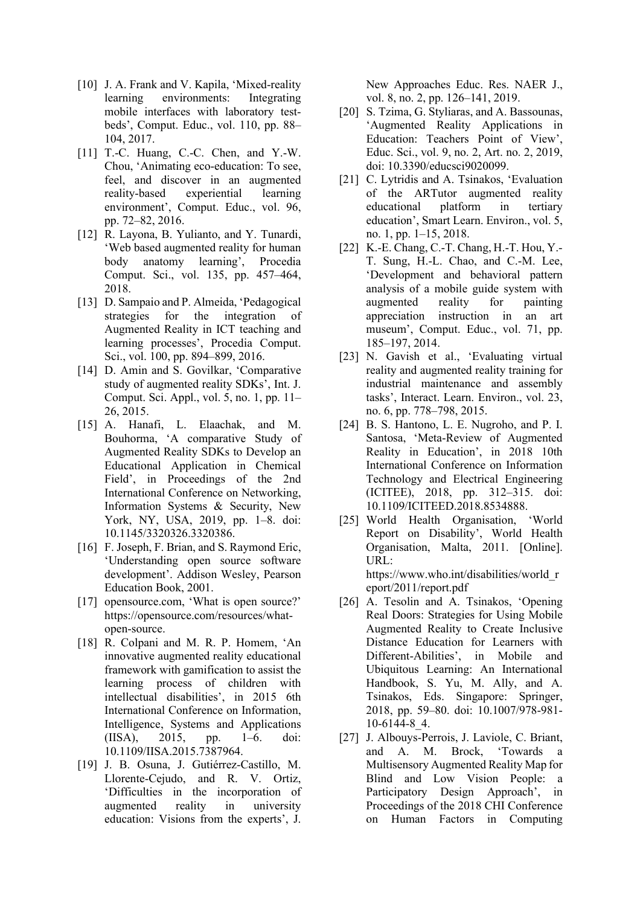- [10] J. A. Frank and V. Kapila, 'Mixed-reality learning environments: Integrating mobile interfaces with laboratory testbeds', Comput. Educ., vol. 110, pp. 88– 104, 2017.
- [11] T.-C. Huang, C.-C. Chen, and Y.-W. Chou, 'Animating eco-education: To see, feel, and discover in an augmented<br>reality-based experiential learning experiential learning environment', Comput. Educ., vol. 96, pp. 72–82, 2016.
- [12] R. Layona, B. Yulianto, and Y. Tunardi, 'Web based augmented reality for human body anatomy learning', Procedia Comput. Sci., vol. 135, pp. 457–464, 2018.
- [13] D. Sampaio and P. Almeida, 'Pedagogical strategies for the integration of Augmented Reality in ICT teaching and learning processes', Procedia Comput. Sci., vol. 100, pp. 894–899, 2016.
- [14] D. Amin and S. Govilkar, 'Comparative study of augmented reality SDKs', Int. J. Comput. Sci. Appl., vol. 5, no. 1, pp. 11– 26, 2015.
- [15] A. Hanafi, L. Elaachak, and M. Bouhorma, 'A comparative Study of Augmented Reality SDKs to Develop an Educational Application in Chemical Field', in Proceedings of the 2nd International Conference on Networking, Information Systems & Security, New York, NY, USA, 2019, pp. 1–8. doi: 10.1145/3320326.3320386.
- [16] F. Joseph, F. Brian, and S. Raymond Eric, 'Understanding open source software development'. Addison Wesley, Pearson Education Book, 2001.
- [17] opensource.com, 'What is open source?' https://opensource.com/resources/whatopen-source.
- [18] R. Colpani and M. R. P. Homem, 'An innovative augmented reality educational framework with gamification to assist the learning process of children with intellectual disabilities', in 2015 6th International Conference on Information, Intelligence, Systems and Applications (IISA), 2015, pp. 1–6. doi: 10.1109/IISA.2015.7387964.
- [19] J. B. Osuna, J. Gutiérrez-Castillo, M. Llorente-Cejudo, and R. V. Ortiz, 'Difficulties in the incorporation of augmented reality in university education: Visions from the experts', J.

New Approaches Educ. Res. NAER J., vol. 8, no. 2, pp. 126–141, 2019.

- [20] S. Tzima, G. Styliaras, and A. Bassounas, 'Augmented Reality Applications in Education: Teachers Point of View', Educ. Sci., vol. 9, no. 2, Art. no. 2, 2019, doi: 10.3390/educsci9020099.
- [21] C. Lytridis and A. Tsinakos, 'Evaluation of the ARTutor augmented reality educational platform in tertiary education', Smart Learn. Environ., vol. 5, no. 1, pp. 1–15, 2018.
- [22] K.-E. Chang, C.-T. Chang, H.-T. Hou, Y.- T. Sung, H.-L. Chao, and C.-M. Lee, 'Development and behavioral pattern analysis of a mobile guide system with augmented reality for painting appreciation instruction in an art museum', Comput. Educ., vol. 71, pp. 185–197, 2014.
- [23] N. Gavish et al., 'Evaluating virtual reality and augmented reality training for industrial maintenance and assembly tasks', Interact. Learn. Environ., vol. 23, no. 6, pp. 778–798, 2015.
- [24] B. S. Hantono, L. E. Nugroho, and P. I. Santosa, 'Meta-Review of Augmented Reality in Education', in 2018 10th International Conference on Information Technology and Electrical Engineering (ICITEE), 2018, pp. 312–315. doi: 10.1109/ICITEED.2018.8534888.
- [25] World Health Organisation, 'World Report on Disability', World Health Organisation, Malta, 2011. [Online]. URL: https://www.who.int/disabilities/world\_r eport/2011/report.pdf
- [26] A. Tesolin and A. Tsinakos, 'Opening Real Doors: Strategies for Using Mobile Augmented Reality to Create Inclusive Distance Education for Learners with Different-Abilities', in Mobile and Ubiquitous Learning: An International Handbook, S. Yu, M. Ally, and A. Tsinakos, Eds. Singapore: Springer, 2018, pp. 59–80. doi: 10.1007/978-981- 10-6144-8\_4.
- [27] J. Albouys-Perrois, J. Laviole, C. Briant, and A. M. Brock, 'Towards Multisensory Augmented Reality Map for Blind and Low Vision People: a Participatory Design Approach', in Proceedings of the 2018 CHI Conference on Human Factors in Computing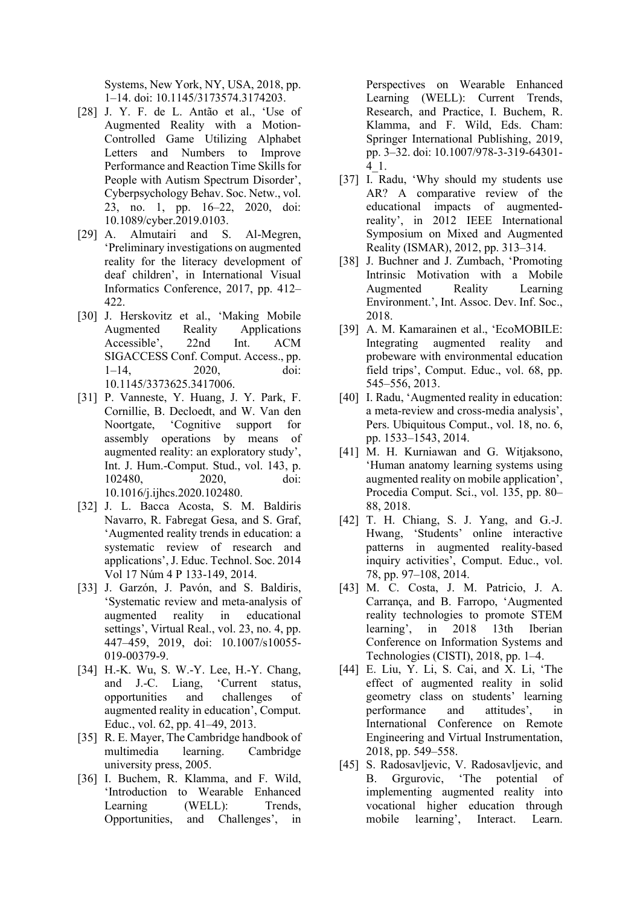Systems, New York, NY, USA, 2018, pp. 1–14. doi: 10.1145/3173574.3174203.

- [28] J. Y. F. de L. Antão et al., 'Use of Augmented Reality with a Motion-Controlled Game Utilizing Alphabet Letters and Numbers to Improve Performance and Reaction Time Skills for People with Autism Spectrum Disorder', Cyberpsychology Behav. Soc. Netw., vol. 23, no. 1, pp. 16–22, 2020, doi: 10.1089/cyber.2019.0103.
- [29] A. Almutairi and S. Al-Megren, 'Preliminary investigations on augmented reality for the literacy development of deaf children', in International Visual Informatics Conference, 2017, pp. 412– 422.
- [30] J. Herskovitz et al., 'Making Mobile Augmented Reality Applications Accessible', 22nd Int. ACM SIGACCESS Conf. Comput. Access., pp. 1–14, 2020, doi: 10.1145/3373625.3417006.
- [31] P. Vanneste, Y. Huang, J. Y. Park, F. Cornillie, B. Decloedt, and W. Van den Noortgate, 'Cognitive support for assembly operations by means of augmented reality: an exploratory study', Int. J. Hum.-Comput. Stud., vol. 143, p. 102480, 2020, doi: 10.1016/j.ijhcs.2020.102480.
- [32] J. L. Bacca Acosta, S. M. Baldiris Navarro, R. Fabregat Gesa, and S. Graf, 'Augmented reality trends in education: a systematic review of research and applications', J. Educ. Technol. Soc. 2014 Vol 17 Núm 4 P 133-149, 2014.
- [33] J. Garzón, J. Pavón, and S. Baldiris, 'Systematic review and meta-analysis of augmented reality in educational settings', Virtual Real., vol. 23, no. 4, pp. 447–459, 2019, doi: 10.1007/s10055- 019-00379-9.
- [34] H.-K. Wu, S. W.-Y. Lee, H.-Y. Chang, and J.-C. Liang, 'Current status, opportunities and challenges of augmented reality in education', Comput. Educ., vol. 62, pp. 41–49, 2013.
- [35] R. E. Mayer, The Cambridge handbook of multimedia learning. Cambridge university press, 2005.
- [36] I. Buchem, R. Klamma, and F. Wild, 'Introduction to Wearable Enhanced Learning (WELL): Trends, Opportunities, and Challenges', in

Perspectives on Wearable Enhanced Learning (WELL): Current Trends, Research, and Practice, I. Buchem, R. Klamma, and F. Wild, Eds. Cham: Springer International Publishing, 2019, pp. 3–32. doi: 10.1007/978-3-319-64301- 4\_1.

- [37] I. Radu, 'Why should my students use AR? A comparative review of the educational impacts of augmentedreality', in 2012 IEEE International Symposium on Mixed and Augmented Reality (ISMAR), 2012, pp. 313–314.
- [38] J. Buchner and J. Zumbach, 'Promoting Intrinsic Motivation with a Mobile Augmented Reality Learning Environment.', Int. Assoc. Dev. Inf. Soc., 2018.
- [39] A. M. Kamarainen et al., 'EcoMOBILE: Integrating augmented reality and probeware with environmental education field trips', Comput. Educ., vol. 68, pp. 545–556, 2013.
- [40] I. Radu, 'Augmented reality in education: a meta-review and cross-media analysis', Pers. Ubiquitous Comput., vol. 18, no. 6, pp. 1533–1543, 2014.
- [41] M. H. Kurniawan and G. Witjaksono, 'Human anatomy learning systems using augmented reality on mobile application', Procedia Comput. Sci., vol. 135, pp. 80– 88, 2018.
- [42] T. H. Chiang, S. J. Yang, and G.-J. Hwang, 'Students' online interactive patterns in augmented reality-based inquiry activities', Comput. Educ., vol. 78, pp. 97–108, 2014.
- [43] M. C. Costa, J. M. Patricio, J. A. Carrança, and B. Farropo, 'Augmented reality technologies to promote STEM learning', in 2018 13th Iberian Conference on Information Systems and Technologies (CISTI), 2018, pp. 1–4.
- [44] E. Liu, Y. Li, S. Cai, and X. Li, 'The effect of augmented reality in solid geometry class on students' learning performance and attitudes', in International Conference on Remote Engineering and Virtual Instrumentation, 2018, pp. 549–558.
- [45] S. Radosavljevic, V. Radosavljevic, and B. Grgurovic, 'The potential of implementing augmented reality into vocational higher education through mobile learning', Interact. Learn.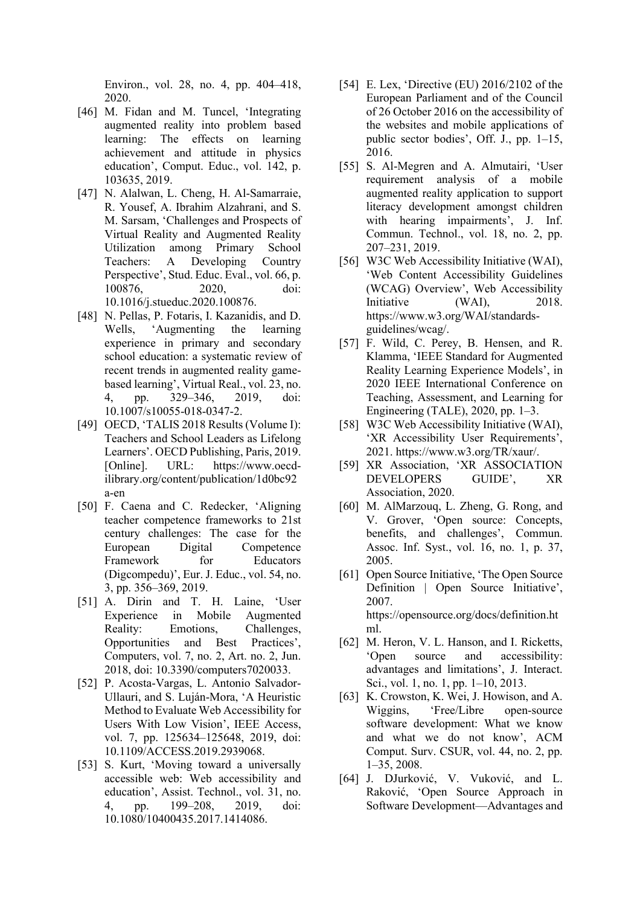Environ., vol. 28, no. 4, pp. 404–418, 2020.

- [46] M. Fidan and M. Tuncel, 'Integrating augmented reality into problem based learning: The effects on learning achievement and attitude in physics education', Comput. Educ., vol. 142, p. 103635, 2019.
- [47] N. Alalwan, L. Cheng, H. Al-Samarraie, R. Yousef, A. Ibrahim Alzahrani, and S. M. Sarsam, 'Challenges and Prospects of Virtual Reality and Augmented Reality Utilization among Primary School Teachers: A Developing Country Perspective', Stud. Educ. Eval., vol. 66, p. 100876, 2020, doi: 10.1016/j.stueduc.2020.100876.
- [48] N. Pellas, P. Fotaris, I. Kazanidis, and D. Wells, 'Augmenting the learning experience in primary and secondary school education: a systematic review of recent trends in augmented reality gamebased learning', Virtual Real., vol. 23, no. 4, pp. 329–346, 2019, doi: 10.1007/s10055-018-0347-2.
- [49] OECD, 'TALIS 2018 Results (Volume I): Teachers and School Leaders as Lifelong Learners'. OECD Publishing, Paris, 2019. [Online]. URL: https://www.oecdilibrary.org/content/publication/1d0bc92 a-en
- [50] F. Caena and C. Redecker, 'Aligning teacher competence frameworks to 21st century challenges: The case for the European Digital Competence Framework for Educators (Digcompedu)', Eur. J. Educ., vol. 54, no. 3, pp. 356–369, 2019.
- [51] A. Dirin and T. H. Laine, 'User Experience in Mobile Augmented Reality: Emotions, Challenges, Opportunities and Best Practices', Computers, vol. 7, no. 2, Art. no. 2, Jun. 2018, doi: 10.3390/computers7020033.
- [52] P. Acosta-Vargas, L. Antonio Salvador-Ullauri, and S. Luján-Mora, 'A Heuristic Method to Evaluate Web Accessibility for Users With Low Vision', IEEE Access, vol. 7, pp. 125634–125648, 2019, doi: 10.1109/ACCESS.2019.2939068.
- [53] S. Kurt, 'Moving toward a universally accessible web: Web accessibility and education', Assist. Technol., vol. 31, no. 4, pp. 199–208, 2019, doi: 10.1080/10400435.2017.1414086.
- [54] E. Lex, 'Directive (EU) 2016/2102 of the European Parliament and of the Council of 26 October 2016 on the accessibility of the websites and mobile applications of public sector bodies', Off. J., pp. 1–15, 2016.
- [55] S. Al-Megren and A. Almutairi, 'User requirement analysis of a mobile augmented reality application to support literacy development amongst children with hearing impairments', J. Inf. Commun. Technol., vol. 18, no. 2, pp. 207–231, 2019.
- [56] W3C Web Accessibility Initiative (WAI), 'Web Content Accessibility Guidelines (WCAG) Overview', Web Accessibility Initiative (WAI), 2018. https://www.w3.org/WAI/standardsguidelines/wcag/.
- [57] F. Wild, C. Perey, B. Hensen, and R. Klamma, 'IEEE Standard for Augmented Reality Learning Experience Models', in 2020 IEEE International Conference on Teaching, Assessment, and Learning for Engineering (TALE), 2020, pp. 1–3.
- [58] W3C Web Accessibility Initiative (WAI), 'XR Accessibility User Requirements', 2021. https://www.w3.org/TR/xaur/.
- [59] XR Association, 'XR ASSOCIATION DEVELOPERS GUIDE', XR Association, 2020.
- [60] M. AlMarzouq, L. Zheng, G. Rong, and V. Grover, 'Open source: Concepts, benefits, and challenges', Commun. Assoc. Inf. Syst., vol. 16, no. 1, p. 37, 2005.
- [61] Open Source Initiative, 'The Open Source Definition | Open Source Initiative', 2007. https://opensource.org/docs/definition.ht ml.
- [62] M. Heron, V. L. Hanson, and I. Ricketts, 'Open source and accessibility: advantages and limitations', J. Interact. Sci., vol. 1, no. 1, pp. 1–10, 2013.
- [63] K. Crowston, K. Wei, J. Howison, and A. Wiggins, 'Free/Libre open-source software development: What we know and what we do not know', ACM Comput. Surv. CSUR, vol. 44, no. 2, pp. 1–35, 2008.
- [64] J. DJurković, V. Vuković, and L. Raković, 'Open Source Approach in Software Development—Advantages and